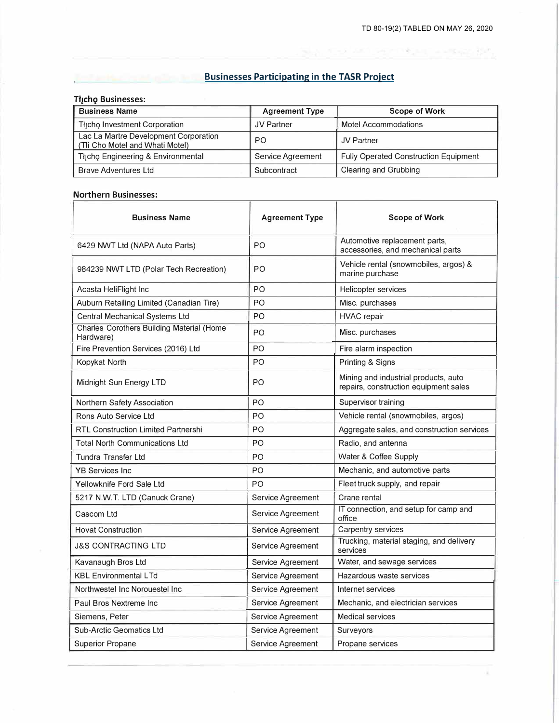$\lambda$ 

sports to permit and a single girl,

**Businesses Participating in the TASR Project** 

## **Tłįchą Businesses:**

J.

| <b>Business Name</b>                                                     | <b>Agreement Type</b> | <b>Scope of Work</b>                         |  |
|--------------------------------------------------------------------------|-----------------------|----------------------------------------------|--|
| Thcho Investment Corporation                                             | JV Partner            | Motel Accommodations                         |  |
| Lac La Martre Development Corporation<br>(Tli Cho Motel and Whati Motel) | PO.                   | <b>JV Partner</b>                            |  |
| Thicho Engineering & Environmental                                       | Service Agreement     | <b>Fully Operated Construction Equipment</b> |  |
| <b>Brave Adventures Ltd</b>                                              | Subcontract           | Clearing and Grubbing                        |  |

## **Northern Businesses:**

| <b>Business Name</b>                                   | <b>Agreement Type</b>                         | Scope of Work                                                                 |  |
|--------------------------------------------------------|-----------------------------------------------|-------------------------------------------------------------------------------|--|
| 6429 NWT Ltd (NAPA Auto Parts)                         | P <sub>O</sub>                                | Automotive replacement parts,<br>accessories, and mechanical parts            |  |
| 984239 NWT LTD (Polar Tech Recreation)                 | P <sub>O</sub>                                | Vehicle rental (snowmobiles, argos) &<br>marine purchase                      |  |
| Acasta HeliFlight Inc                                  | PO                                            | Helicopter services                                                           |  |
| Auburn Retailing Limited (Canadian Tire)               | PO                                            | Misc. purchases                                                               |  |
| Central Mechanical Systems Ltd                         | PO<br><b>HVAC</b> repair                      |                                                                               |  |
| Charles Corothers Building Material (Home<br>Hardware) | PO                                            | Misc. purchases                                                               |  |
| Fire Prevention Services (2016) Ltd                    | PO.                                           | Fire alarm inspection                                                         |  |
| Kopykat North                                          | PO                                            | Printing & Signs                                                              |  |
| Midnight Sun Energy LTD                                | PO                                            | Mining and industrial products, auto<br>repairs, construction equipment sales |  |
| Northern Safety Association                            | P <sub>O</sub>                                | Supervisor training                                                           |  |
| Rons Auto Service Ltd                                  | PO.                                           | Vehicle rental (snowmobiles, argos)                                           |  |
| <b>RTL Construction Limited Partnershi</b>             | P <sub>O</sub>                                | Aggregate sales, and construction services                                    |  |
| <b>Total North Communications Ltd</b>                  | P <sub>O</sub>                                | Radio, and antenna                                                            |  |
| Tundra Transfer Ltd                                    | P <sub>O</sub>                                | Water & Coffee Supply                                                         |  |
| <b>YB Services Inc.</b>                                | PO.                                           | Mechanic, and automotive parts                                                |  |
| Yellowknife Ford Sale Ltd                              | P <sub>O</sub>                                | Fleet truck supply, and repair                                                |  |
| 5217 N.W.T. LTD (Canuck Crane)                         | Service Agreement                             | Crane rental                                                                  |  |
| Cascom Ltd                                             | Service Agreement                             | IT connection, and setup for camp and<br>office                               |  |
| <b>Hovat Construction</b>                              | Service Agreement                             | Carpentry services                                                            |  |
| J&S CONTRACTING LTD                                    | Service Agreement                             | Trucking, material staging, and delivery<br>services                          |  |
| Kavanaugh Bros Ltd                                     | Service Agreement                             | Water, and sewage services                                                    |  |
| <b>KBL Environmental LTd</b>                           | Hazardous waste services<br>Service Agreement |                                                                               |  |
| Northwestel Inc Norouestel Inc.                        | Service Agreement<br>Internet services        |                                                                               |  |
| Paul Bros Nextreme Inc                                 | Service Agreement                             | Mechanic, and electrician services                                            |  |
| Siemens, Peter                                         | Service Agreement                             | <b>Medical services</b>                                                       |  |
| Sub-Arctic Geomatics Ltd                               | Service Agreement                             | Surveyors                                                                     |  |
| <b>Superior Propane</b>                                | Service Agreement                             | Propane services                                                              |  |